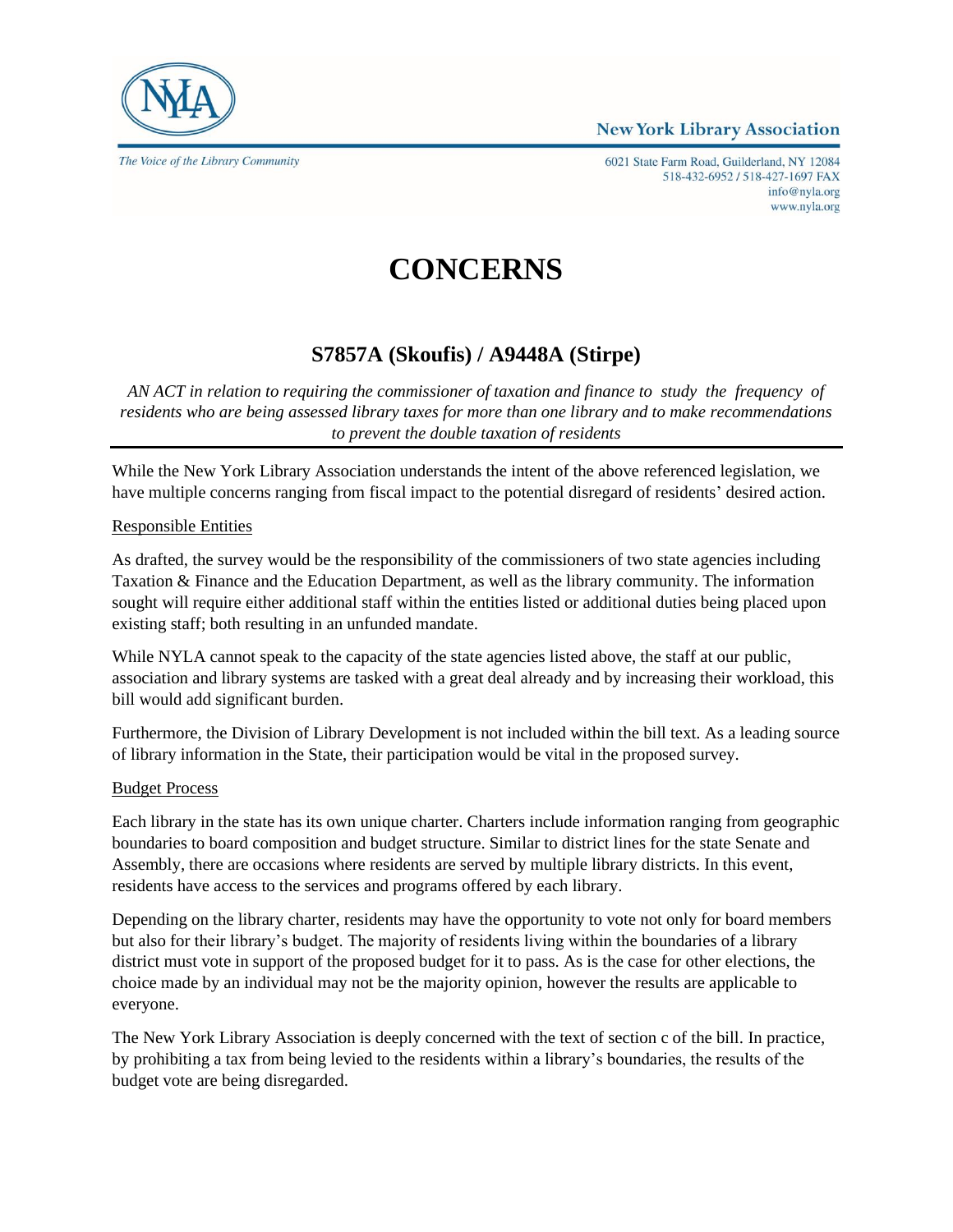



The Voice of the Library Community

6021 State Farm Road, Guilderland, NY 12084 518-432-6952 / 518-427-1697 FAX info@nyla.org www.nyla.org

# **CONCERNS**

## **S7857A (Skoufis) / A9448A (Stirpe)**

*AN ACT in relation to requiring the commissioner of taxation and finance to study the frequency of residents who are being assessed library taxes for more than one library and to make recommendations to prevent the double taxation of residents*

While the New York Library Association understands the intent of the above referenced legislation, we have multiple concerns ranging from fiscal impact to the potential disregard of residents' desired action.

### Responsible Entities

As drafted, the survey would be the responsibility of the commissioners of two state agencies including Taxation & Finance and the Education Department, as well as the library community. The information sought will require either additional staff within the entities listed or additional duties being placed upon existing staff; both resulting in an unfunded mandate.

While NYLA cannot speak to the capacity of the state agencies listed above, the staff at our public, association and library systems are tasked with a great deal already and by increasing their workload, this bill would add significant burden.

Furthermore, the Division of Library Development is not included within the bill text. As a leading source of library information in the State, their participation would be vital in the proposed survey.

### Budget Process

Each library in the state has its own unique charter. Charters include information ranging from geographic boundaries to board composition and budget structure. Similar to district lines for the state Senate and Assembly, there are occasions where residents are served by multiple library districts. In this event, residents have access to the services and programs offered by each library.

Depending on the library charter, residents may have the opportunity to vote not only for board members but also for their library's budget. The majority of residents living within the boundaries of a library district must vote in support of the proposed budget for it to pass. As is the case for other elections, the choice made by an individual may not be the majority opinion, however the results are applicable to everyone.

The New York Library Association is deeply concerned with the text of section c of the bill. In practice, by prohibiting a tax from being levied to the residents within a library's boundaries, the results of the budget vote are being disregarded.